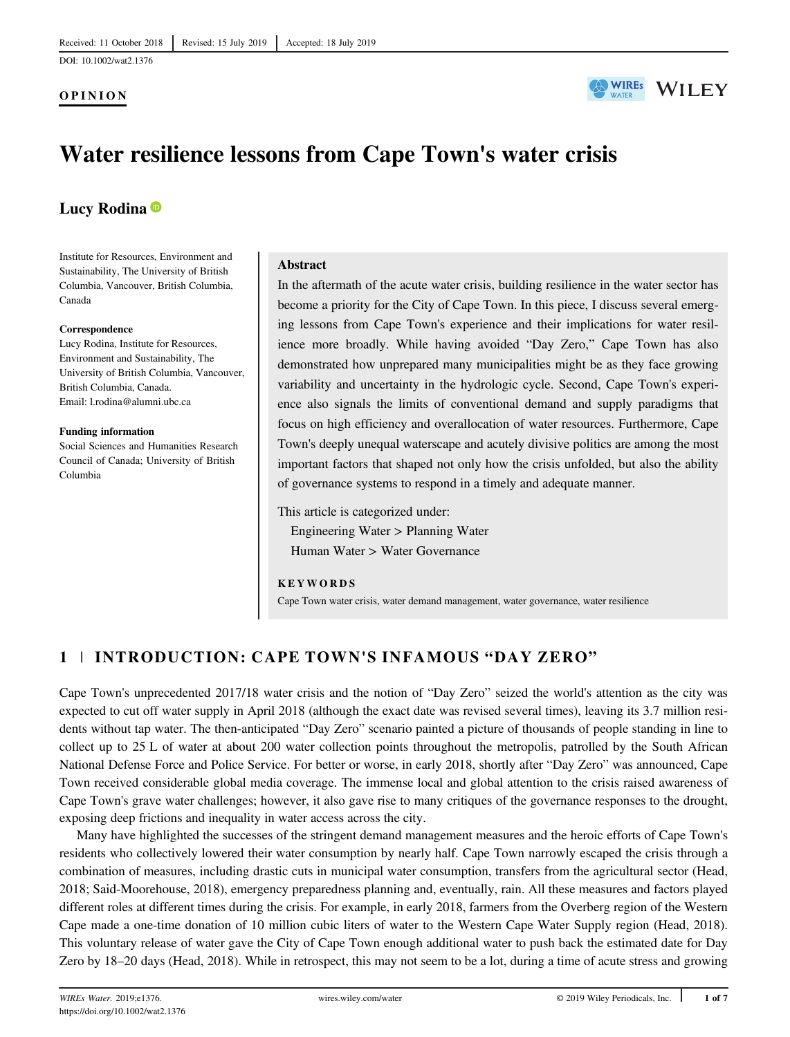## OPINION



# Water resilience lessons from Cape Town's water crisis

## Lucy Rodina<sup>®</sup>

Institute for Resources, Environment and Sustainability, The University of British Columbia, Vancouver, British Columbia, Canada

#### **Correspondence**

Lucy Rodina, Institute for Resources, Environment and Sustainability, The University of British Columbia, Vancouver, British Columbia, Canada. Email: [l.rodina@alumni.ubc.ca](mailto:l.rodina@alumni.ubc.ca)

#### Funding information

Social Sciences and Humanities Research Council of Canada; University of British Columbia

## Abstract

In the aftermath of the acute water crisis, building resilience in the water sector has become a priority for the City of Cape Town. In this piece, I discuss several emerging lessons from Cape Town's experience and their implications for water resilience more broadly. While having avoided "Day Zero," Cape Town has also demonstrated how unprepared many municipalities might be as they face growing variability and uncertainty in the hydrologic cycle. Second, Cape Town's experience also signals the limits of conventional demand and supply paradigms that focus on high efficiency and overallocation of water resources. Furthermore, Cape Town's deeply unequal waterscape and acutely divisive politics are among the most important factors that shaped not only how the crisis unfolded, but also the ability of governance systems to respond in a timely and adequate manner.

This article is categorized under:

Engineering Water > Planning Water Human Water > Water Governance

### **KEYWORDS**

Cape Town water crisis, water demand management, water governance, water resilience

## 1 | INTRODUCTION: CAPE TOWN'S INFAMOUS "DAY ZERO"

Cape Town's unprecedented 2017/18 water crisis and the notion of "Day Zero" seized the world's attention as the city was expected to cut off water supply in April 2018 (although the exact date was revised several times), leaving its 3.7 million residents without tap water. The then-anticipated "Day Zero" scenario painted a picture of thousands of people standing in line to collect up to 25 L of water at about 200 water collection points throughout the metropolis, patrolled by the South African National Defense Force and Police Service. For better or worse, in early 2018, shortly after "Day Zero" was announced, Cape Town received considerable global media coverage. The immense local and global attention to the crisis raised awareness of Cape Town's grave water challenges; however, it also gave rise to many critiques of the governance responses to the drought, exposing deep frictions and inequality in water access across the city.

Many have highlighted the successes of the stringent demand management measures and the heroic efforts of Cape Town's residents who collectively lowered their water consumption by nearly half. Cape Town narrowly escaped the crisis through a combination of measures, including drastic cuts in municipal water consumption, transfers from the agricultural sector (Head, 2018; Said-Moorehouse, 2018), emergency preparedness planning and, eventually, rain. All these measures and factors played different roles at different times during the crisis. For example, in early 2018, farmers from the Overberg region of the Western Cape made a one-time donation of 10 million cubic liters of water to the Western Cape Water Supply region (Head, 2018). This voluntary release of water gave the City of Cape Town enough additional water to push back the estimated date for Day Zero by 18–20 days (Head, 2018). While in retrospect, this may not seem to be a lot, during a time of acute stress and growing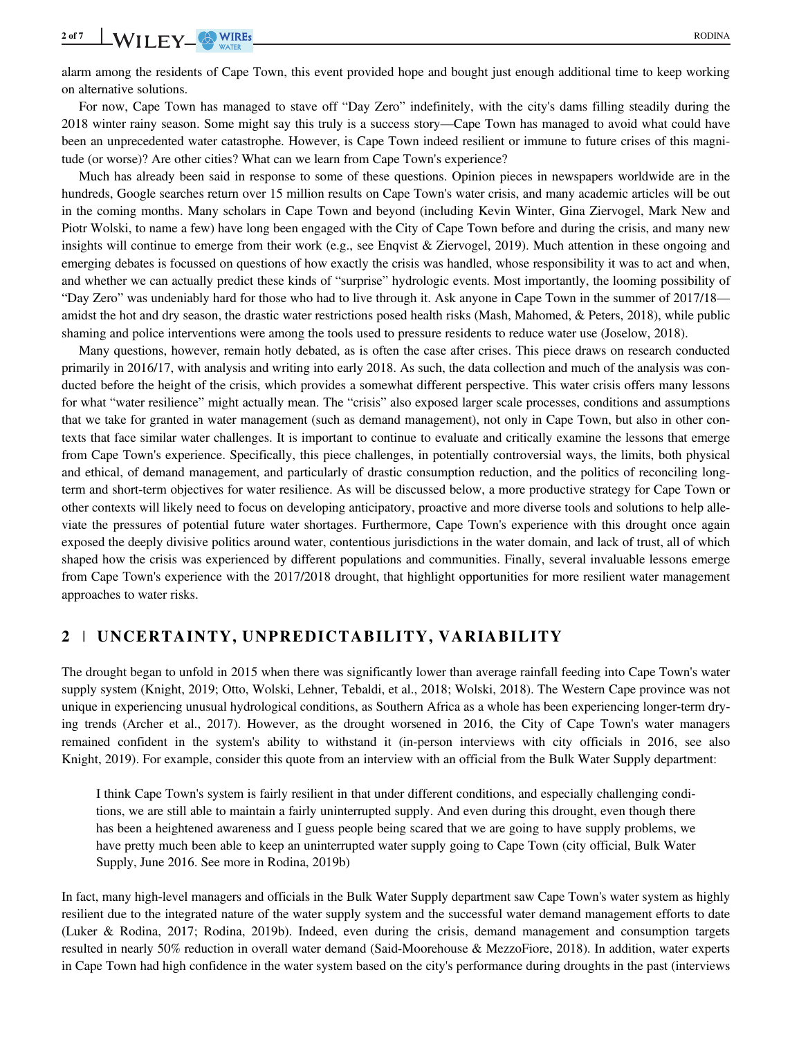alarm among the residents of Cape Town, this event provided hope and bought just enough additional time to keep working on alternative solutions.

For now, Cape Town has managed to stave off "Day Zero" indefinitely, with the city's dams filling steadily during the 2018 winter rainy season. Some might say this truly is a success story—Cape Town has managed to avoid what could have been an unprecedented water catastrophe. However, is Cape Town indeed resilient or immune to future crises of this magnitude (or worse)? Are other cities? What can we learn from Cape Town's experience?

Much has already been said in response to some of these questions. Opinion pieces in newspapers worldwide are in the hundreds, Google searches return over 15 million results on Cape Town's water crisis, and many academic articles will be out in the coming months. Many scholars in Cape Town and beyond (including Kevin Winter, Gina Ziervogel, Mark New and Piotr Wolski, to name a few) have long been engaged with the City of Cape Town before and during the crisis, and many new insights will continue to emerge from their work (e.g., see Enqvist & Ziervogel, 2019). Much attention in these ongoing and emerging debates is focussed on questions of how exactly the crisis was handled, whose responsibility it was to act and when, and whether we can actually predict these kinds of "surprise" hydrologic events. Most importantly, the looming possibility of "Day Zero" was undeniably hard for those who had to live through it. Ask anyone in Cape Town in the summer of 2017/18 amidst the hot and dry season, the drastic water restrictions posed health risks (Mash, Mahomed, & Peters, 2018), while public shaming and police interventions were among the tools used to pressure residents to reduce water use (Joselow, 2018).

Many questions, however, remain hotly debated, as is often the case after crises. This piece draws on research conducted primarily in 2016/17, with analysis and writing into early 2018. As such, the data collection and much of the analysis was conducted before the height of the crisis, which provides a somewhat different perspective. This water crisis offers many lessons for what "water resilience" might actually mean. The "crisis" also exposed larger scale processes, conditions and assumptions that we take for granted in water management (such as demand management), not only in Cape Town, but also in other contexts that face similar water challenges. It is important to continue to evaluate and critically examine the lessons that emerge from Cape Town's experience. Specifically, this piece challenges, in potentially controversial ways, the limits, both physical and ethical, of demand management, and particularly of drastic consumption reduction, and the politics of reconciling longterm and short-term objectives for water resilience. As will be discussed below, a more productive strategy for Cape Town or other contexts will likely need to focus on developing anticipatory, proactive and more diverse tools and solutions to help alleviate the pressures of potential future water shortages. Furthermore, Cape Town's experience with this drought once again exposed the deeply divisive politics around water, contentious jurisdictions in the water domain, and lack of trust, all of which shaped how the crisis was experienced by different populations and communities. Finally, several invaluable lessons emerge from Cape Town's experience with the 2017/2018 drought, that highlight opportunities for more resilient water management approaches to water risks.

## 2 | UNCERTAINTY, UNPREDICTABILITY, VARIABILITY

The drought began to unfold in 2015 when there was significantly lower than average rainfall feeding into Cape Town's water supply system (Knight, 2019; Otto, Wolski, Lehner, Tebaldi, et al., 2018; Wolski, 2018). The Western Cape province was not unique in experiencing unusual hydrological conditions, as Southern Africa as a whole has been experiencing longer-term drying trends (Archer et al., 2017). However, as the drought worsened in 2016, the City of Cape Town's water managers remained confident in the system's ability to withstand it (in-person interviews with city officials in 2016, see also Knight, 2019). For example, consider this quote from an interview with an official from the Bulk Water Supply department:

I think Cape Town's system is fairly resilient in that under different conditions, and especially challenging conditions, we are still able to maintain a fairly uninterrupted supply. And even during this drought, even though there has been a heightened awareness and I guess people being scared that we are going to have supply problems, we have pretty much been able to keep an uninterrupted water supply going to Cape Town (city official, Bulk Water Supply, June 2016. See more in Rodina, 2019b)

In fact, many high-level managers and officials in the Bulk Water Supply department saw Cape Town's water system as highly resilient due to the integrated nature of the water supply system and the successful water demand management efforts to date (Luker & Rodina, 2017; Rodina, 2019b). Indeed, even during the crisis, demand management and consumption targets resulted in nearly 50% reduction in overall water demand (Said-Moorehouse & MezzoFiore, 2018). In addition, water experts in Cape Town had high confidence in the water system based on the city's performance during droughts in the past (interviews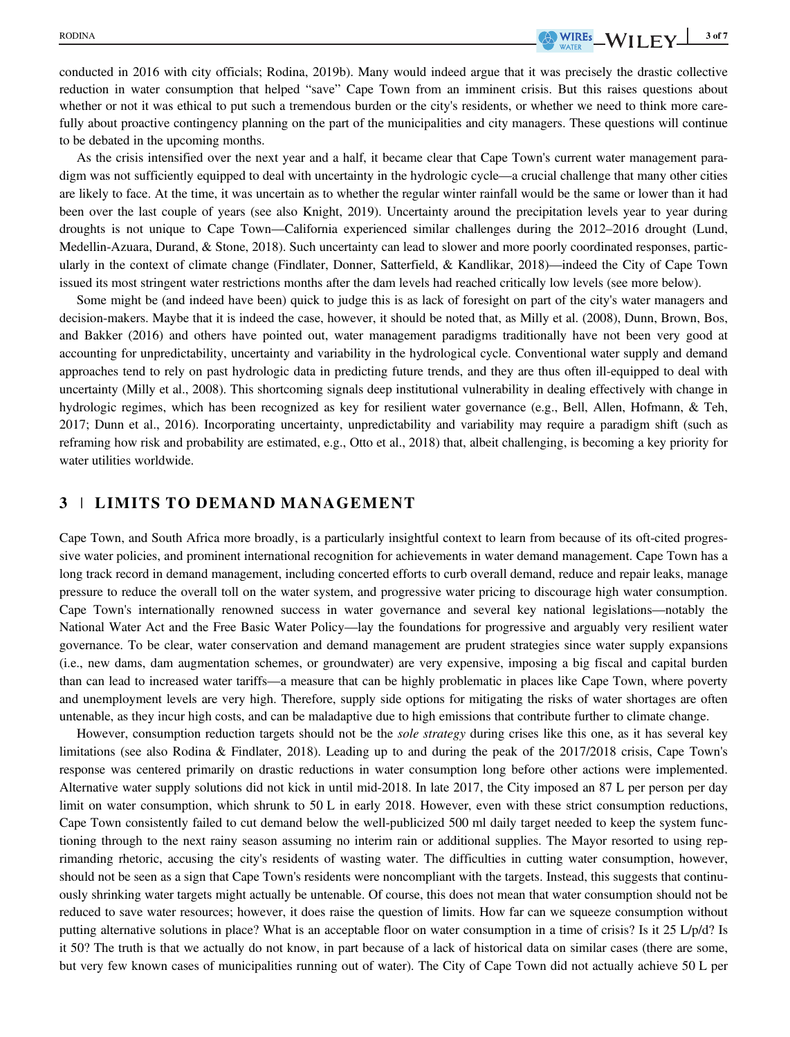conducted in 2016 with city officials; Rodina, 2019b). Many would indeed argue that it was precisely the drastic collective reduction in water consumption that helped "save" Cape Town from an imminent crisis. But this raises questions about whether or not it was ethical to put such a tremendous burden or the city's residents, or whether we need to think more carefully about proactive contingency planning on the part of the municipalities and city managers. These questions will continue to be debated in the upcoming months.

As the crisis intensified over the next year and a half, it became clear that Cape Town's current water management paradigm was not sufficiently equipped to deal with uncertainty in the hydrologic cycle—a crucial challenge that many other cities are likely to face. At the time, it was uncertain as to whether the regular winter rainfall would be the same or lower than it had been over the last couple of years (see also Knight, 2019). Uncertainty around the precipitation levels year to year during droughts is not unique to Cape Town—California experienced similar challenges during the 2012–2016 drought (Lund, Medellin-Azuara, Durand, & Stone, 2018). Such uncertainty can lead to slower and more poorly coordinated responses, particularly in the context of climate change (Findlater, Donner, Satterfield, & Kandlikar, 2018)—indeed the City of Cape Town issued its most stringent water restrictions months after the dam levels had reached critically low levels (see more below).

Some might be (and indeed have been) quick to judge this is as lack of foresight on part of the city's water managers and decision-makers. Maybe that it is indeed the case, however, it should be noted that, as Milly et al. (2008), Dunn, Brown, Bos, and Bakker (2016) and others have pointed out, water management paradigms traditionally have not been very good at accounting for unpredictability, uncertainty and variability in the hydrological cycle. Conventional water supply and demand approaches tend to rely on past hydrologic data in predicting future trends, and they are thus often ill-equipped to deal with uncertainty (Milly et al., 2008). This shortcoming signals deep institutional vulnerability in dealing effectively with change in hydrologic regimes, which has been recognized as key for resilient water governance (e.g., Bell, Allen, Hofmann, & Teh, 2017; Dunn et al., 2016). Incorporating uncertainty, unpredictability and variability may require a paradigm shift (such as reframing how risk and probability are estimated, e.g., Otto et al., 2018) that, albeit challenging, is becoming a key priority for water utilities worldwide.

## 3 | LIMITS TO DEMAND MANAGEMENT

Cape Town, and South Africa more broadly, is a particularly insightful context to learn from because of its oft-cited progressive water policies, and prominent international recognition for achievements in water demand management. Cape Town has a long track record in demand management, including concerted efforts to curb overall demand, reduce and repair leaks, manage pressure to reduce the overall toll on the water system, and progressive water pricing to discourage high water consumption. Cape Town's internationally renowned success in water governance and several key national legislations—notably the National Water Act and the Free Basic Water Policy—lay the foundations for progressive and arguably very resilient water governance. To be clear, water conservation and demand management are prudent strategies since water supply expansions (i.e., new dams, dam augmentation schemes, or groundwater) are very expensive, imposing a big fiscal and capital burden than can lead to increased water tariffs—a measure that can be highly problematic in places like Cape Town, where poverty and unemployment levels are very high. Therefore, supply side options for mitigating the risks of water shortages are often untenable, as they incur high costs, and can be maladaptive due to high emissions that contribute further to climate change.

However, consumption reduction targets should not be the *sole strategy* during crises like this one, as it has several key limitations (see also Rodina & Findlater, 2018). Leading up to and during the peak of the 2017/2018 crisis, Cape Town's response was centered primarily on drastic reductions in water consumption long before other actions were implemented. Alternative water supply solutions did not kick in until mid-2018. In late 2017, the City imposed an 87 L per person per day limit on water consumption, which shrunk to 50 L in early 2018. However, even with these strict consumption reductions, Cape Town consistently failed to cut demand below the well-publicized 500 ml daily target needed to keep the system functioning through to the next rainy season assuming no interim rain or additional supplies. The Mayor resorted to using reprimanding rhetoric, accusing the city's residents of wasting water. The difficulties in cutting water consumption, however, should not be seen as a sign that Cape Town's residents were noncompliant with the targets. Instead, this suggests that continuously shrinking water targets might actually be untenable. Of course, this does not mean that water consumption should not be reduced to save water resources; however, it does raise the question of limits. How far can we squeeze consumption without putting alternative solutions in place? What is an acceptable floor on water consumption in a time of crisis? Is it 25 L/p/d? Is it 50? The truth is that we actually do not know, in part because of a lack of historical data on similar cases (there are some, but very few known cases of municipalities running out of water). The City of Cape Town did not actually achieve 50 L per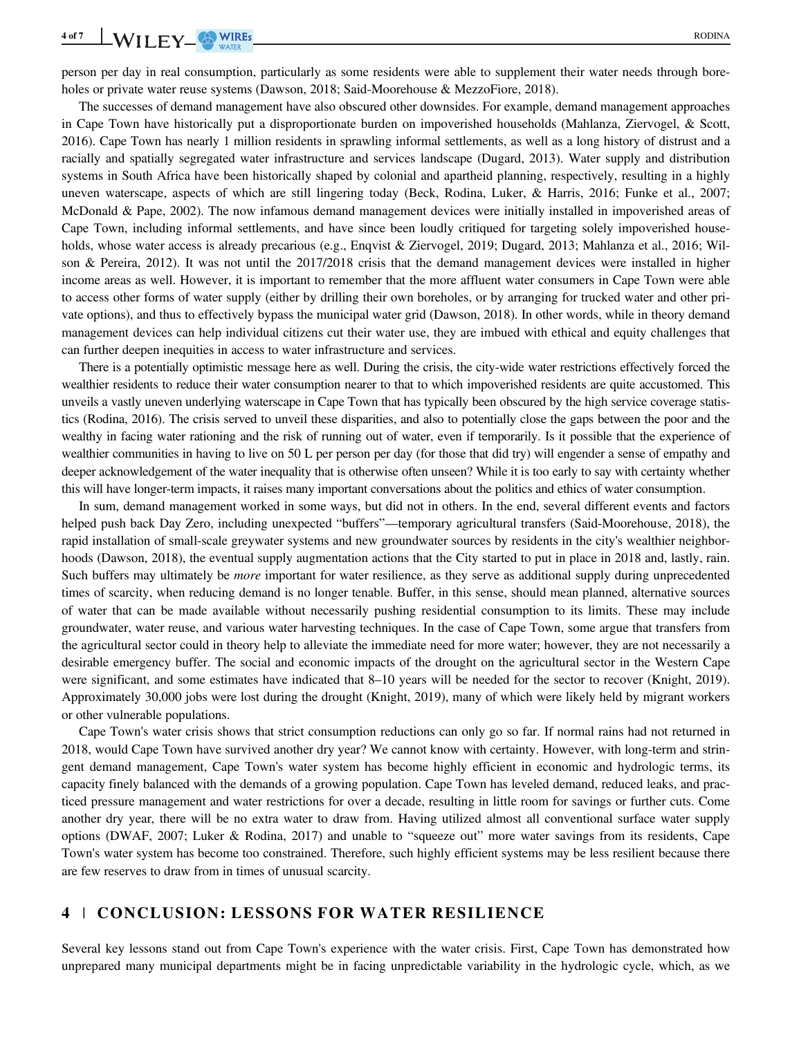person per day in real consumption, particularly as some residents were able to supplement their water needs through boreholes or private water reuse systems (Dawson, 2018; Said-Moorehouse & MezzoFiore, 2018).

The successes of demand management have also obscured other downsides. For example, demand management approaches in Cape Town have historically put a disproportionate burden on impoverished households (Mahlanza, Ziervogel, & Scott, 2016). Cape Town has nearly 1 million residents in sprawling informal settlements, as well as a long history of distrust and a racially and spatially segregated water infrastructure and services landscape (Dugard, 2013). Water supply and distribution systems in South Africa have been historically shaped by colonial and apartheid planning, respectively, resulting in a highly uneven waterscape, aspects of which are still lingering today (Beck, Rodina, Luker, & Harris, 2016; Funke et al., 2007; McDonald & Pape, 2002). The now infamous demand management devices were initially installed in impoverished areas of Cape Town, including informal settlements, and have since been loudly critiqued for targeting solely impoverished households, whose water access is already precarious (e.g., Enqvist & Ziervogel, 2019; Dugard, 2013; Mahlanza et al., 2016; Wilson & Pereira, 2012). It was not until the 2017/2018 crisis that the demand management devices were installed in higher income areas as well. However, it is important to remember that the more affluent water consumers in Cape Town were able to access other forms of water supply (either by drilling their own boreholes, or by arranging for trucked water and other private options), and thus to effectively bypass the municipal water grid (Dawson, 2018). In other words, while in theory demand management devices can help individual citizens cut their water use, they are imbued with ethical and equity challenges that can further deepen inequities in access to water infrastructure and services.

There is a potentially optimistic message here as well. During the crisis, the city-wide water restrictions effectively forced the wealthier residents to reduce their water consumption nearer to that to which impoverished residents are quite accustomed. This unveils a vastly uneven underlying waterscape in Cape Town that has typically been obscured by the high service coverage statistics (Rodina, 2016). The crisis served to unveil these disparities, and also to potentially close the gaps between the poor and the wealthy in facing water rationing and the risk of running out of water, even if temporarily. Is it possible that the experience of wealthier communities in having to live on 50 L per person per day (for those that did try) will engender a sense of empathy and deeper acknowledgement of the water inequality that is otherwise often unseen? While it is too early to say with certainty whether this will have longer-term impacts, it raises many important conversations about the politics and ethics of water consumption.

In sum, demand management worked in some ways, but did not in others. In the end, several different events and factors helped push back Day Zero, including unexpected "buffers"—temporary agricultural transfers (Said-Moorehouse, 2018), the rapid installation of small-scale greywater systems and new groundwater sources by residents in the city's wealthier neighborhoods (Dawson, 2018), the eventual supply augmentation actions that the City started to put in place in 2018 and, lastly, rain. Such buffers may ultimately be *more* important for water resilience, as they serve as additional supply during unprecedented times of scarcity, when reducing demand is no longer tenable. Buffer, in this sense, should mean planned, alternative sources of water that can be made available without necessarily pushing residential consumption to its limits. These may include groundwater, water reuse, and various water harvesting techniques. In the case of Cape Town, some argue that transfers from the agricultural sector could in theory help to alleviate the immediate need for more water; however, they are not necessarily a desirable emergency buffer. The social and economic impacts of the drought on the agricultural sector in the Western Cape were significant, and some estimates have indicated that 8–10 years will be needed for the sector to recover (Knight, 2019). Approximately 30,000 jobs were lost during the drought (Knight, 2019), many of which were likely held by migrant workers or other vulnerable populations.

Cape Town's water crisis shows that strict consumption reductions can only go so far. If normal rains had not returned in 2018, would Cape Town have survived another dry year? We cannot know with certainty. However, with long-term and stringent demand management, Cape Town's water system has become highly efficient in economic and hydrologic terms, its capacity finely balanced with the demands of a growing population. Cape Town has leveled demand, reduced leaks, and practiced pressure management and water restrictions for over a decade, resulting in little room for savings or further cuts. Come another dry year, there will be no extra water to draw from. Having utilized almost all conventional surface water supply options (DWAF, 2007; Luker & Rodina, 2017) and unable to "squeeze out" more water savings from its residents, Cape Town's water system has become too constrained. Therefore, such highly efficient systems may be less resilient because there are few reserves to draw from in times of unusual scarcity.

## 4 | CONCLUSION: LESSONS FOR WATER RESILIENCE

Several key lessons stand out from Cape Town's experience with the water crisis. First, Cape Town has demonstrated how unprepared many municipal departments might be in facing unpredictable variability in the hydrologic cycle, which, as we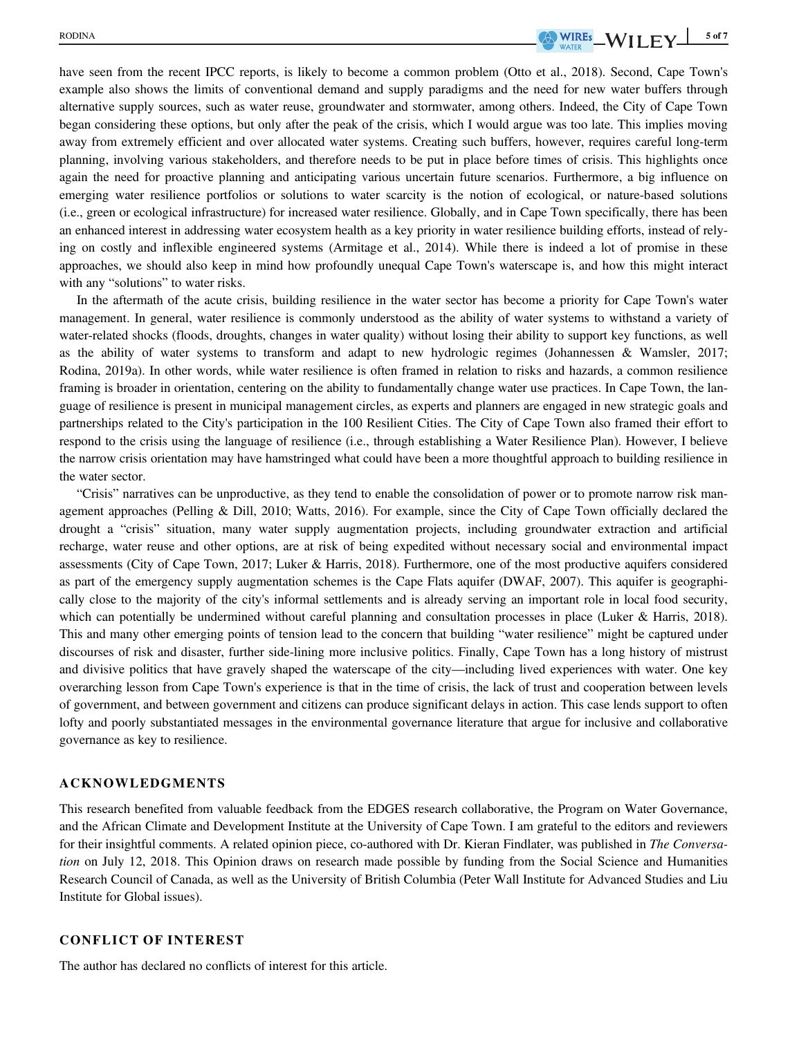have seen from the recent IPCC reports, is likely to become a common problem (Otto et al., 2018). Second, Cape Town's example also shows the limits of conventional demand and supply paradigms and the need for new water buffers through alternative supply sources, such as water reuse, groundwater and stormwater, among others. Indeed, the City of Cape Town began considering these options, but only after the peak of the crisis, which I would argue was too late. This implies moving away from extremely efficient and over allocated water systems. Creating such buffers, however, requires careful long-term planning, involving various stakeholders, and therefore needs to be put in place before times of crisis. This highlights once again the need for proactive planning and anticipating various uncertain future scenarios. Furthermore, a big influence on emerging water resilience portfolios or solutions to water scarcity is the notion of ecological, or nature-based solutions (i.e., green or ecological infrastructure) for increased water resilience. Globally, and in Cape Town specifically, there has been an enhanced interest in addressing water ecosystem health as a key priority in water resilience building efforts, instead of relying on costly and inflexible engineered systems (Armitage et al., 2014). While there is indeed a lot of promise in these approaches, we should also keep in mind how profoundly unequal Cape Town's waterscape is, and how this might interact with any "solutions" to water risks.

In the aftermath of the acute crisis, building resilience in the water sector has become a priority for Cape Town's water management. In general, water resilience is commonly understood as the ability of water systems to withstand a variety of water-related shocks (floods, droughts, changes in water quality) without losing their ability to support key functions, as well as the ability of water systems to transform and adapt to new hydrologic regimes (Johannessen & Wamsler, 2017; Rodina, 2019a). In other words, while water resilience is often framed in relation to risks and hazards, a common resilience framing is broader in orientation, centering on the ability to fundamentally change water use practices. In Cape Town, the language of resilience is present in municipal management circles, as experts and planners are engaged in new strategic goals and partnerships related to the City's participation in the 100 Resilient Cities. The City of Cape Town also framed their effort to respond to the crisis using the language of resilience (i.e., through establishing a Water Resilience Plan). However, I believe the narrow crisis orientation may have hamstringed what could have been a more thoughtful approach to building resilience in the water sector.

"Crisis" narratives can be unproductive, as they tend to enable the consolidation of power or to promote narrow risk management approaches (Pelling & Dill, 2010; Watts, 2016). For example, since the City of Cape Town officially declared the drought a "crisis" situation, many water supply augmentation projects, including groundwater extraction and artificial recharge, water reuse and other options, are at risk of being expedited without necessary social and environmental impact assessments (City of Cape Town, 2017; Luker & Harris, 2018). Furthermore, one of the most productive aquifers considered as part of the emergency supply augmentation schemes is the Cape Flats aquifer (DWAF, 2007). This aquifer is geographically close to the majority of the city's informal settlements and is already serving an important role in local food security, which can potentially be undermined without careful planning and consultation processes in place (Luker & Harris, 2018). This and many other emerging points of tension lead to the concern that building "water resilience" might be captured under discourses of risk and disaster, further side-lining more inclusive politics. Finally, Cape Town has a long history of mistrust and divisive politics that have gravely shaped the waterscape of the city—including lived experiences with water. One key overarching lesson from Cape Town's experience is that in the time of crisis, the lack of trust and cooperation between levels of government, and between government and citizens can produce significant delays in action. This case lends support to often lofty and poorly substantiated messages in the environmental governance literature that argue for inclusive and collaborative governance as key to resilience.

### ACKNOWLEDGMENTS

This research benefited from valuable feedback from the EDGES research collaborative, the Program on Water Governance, and the African Climate and Development Institute at the University of Cape Town. I am grateful to the editors and reviewers for their insightful comments. A related opinion piece, co-authored with Dr. Kieran Findlater, was published in The Conversation on July 12, 2018. This Opinion draws on research made possible by funding from the Social Science and Humanities Research Council of Canada, as well as the University of British Columbia (Peter Wall Institute for Advanced Studies and Liu Institute for Global issues).

#### CONFLICT OF INTEREST

The author has declared no conflicts of interest for this article.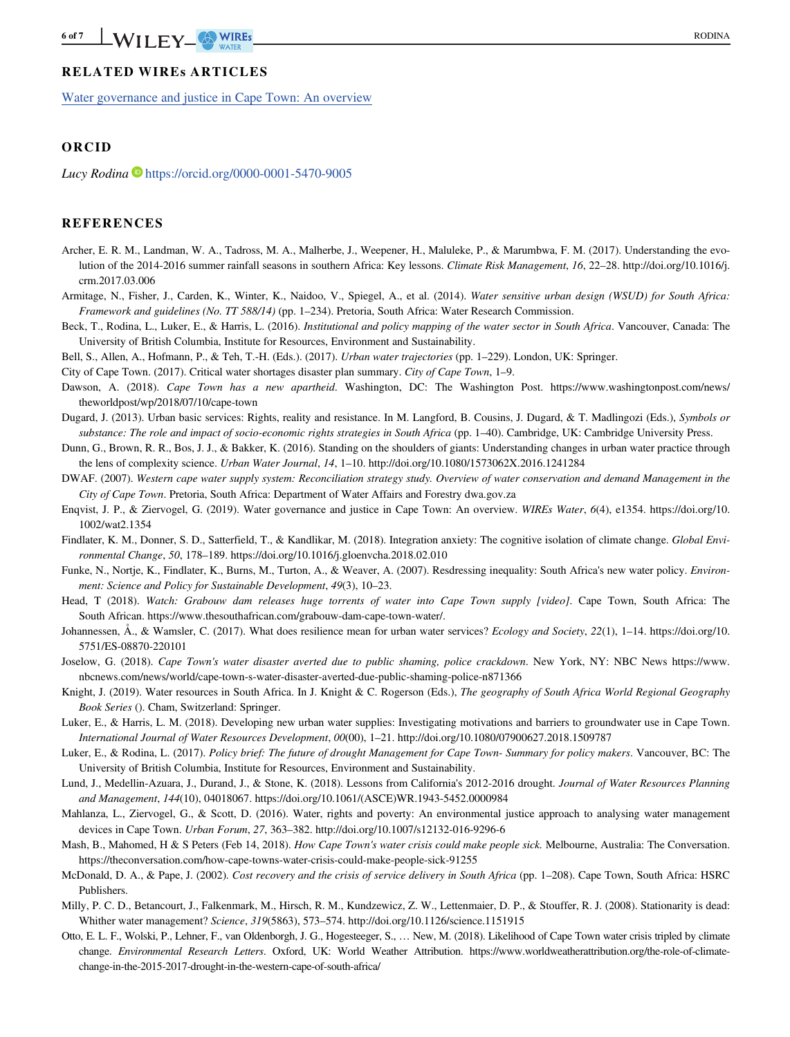## RELATED WIREs ARTICLES

[Water governance and justice in Cape Town: An overview](https://doi.org/10.1002/wat2.1009)

## ORCID

Lucy Rodina  $\blacksquare$  <https://orcid.org/0000-0001-5470-9005>

#### REFERENCES

- Archer, E. R. M., Landman, W. A., Tadross, M. A., Malherbe, J., Weepener, H., Maluleke, P., & Marumbwa, F. M. (2017). Understanding the evolution of the 2014-2016 summer rainfall seasons in southern Africa: Key lessons. Climate Risk Management, 16, 22–28. [http://doi.org/10.1016/j.](http://doi.org/10.1016/j.crm.2017.03.006) [crm.2017.03.006](http://doi.org/10.1016/j.crm.2017.03.006)
- Armitage, N., Fisher, J., Carden, K., Winter, K., Naidoo, V., Spiegel, A., et al. (2014). Water sensitive urban design (WSUD) for South Africa: Framework and guidelines (No. TT 588/14) (pp. 1–234). Pretoria, South Africa: Water Research Commission.
- Beck, T., Rodina, L., Luker, E., & Harris, L. (2016). Institutional and policy mapping of the water sector in South Africa. Vancouver, Canada: The University of British Columbia, Institute for Resources, Environment and Sustainability.
- Bell, S., Allen, A., Hofmann, P., & Teh, T.-H. (Eds.). (2017). Urban water trajectories (pp. 1–229). London, UK: Springer.

City of Cape Town. (2017). Critical water shortages disaster plan summary. City of Cape Town, 1–9.

- Dawson, A. (2018). Cape Town has a new apartheid. Washington, DC: The Washington Post. [https://www.washingtonpost.com/news/](https://www.washingtonpost.com/news/theworldpost/wp/2018/07/10/cape-town) [theworldpost/wp/2018/07/10/cape-town](https://www.washingtonpost.com/news/theworldpost/wp/2018/07/10/cape-town)
- Dugard, J. (2013). Urban basic services: Rights, reality and resistance. In M. Langford, B. Cousins, J. Dugard, & T. Madlingozi (Eds.), Symbols or substance: The role and impact of socio-economic rights strategies in South Africa (pp. 1–40). Cambridge, UK: Cambridge University Press.
- Dunn, G., Brown, R. R., Bos, J. J., & Bakker, K. (2016). Standing on the shoulders of giants: Understanding changes in urban water practice through the lens of complexity science. Urban Water Journal, 14, 1–10.<http://doi.org/10.1080/1573062X.2016.1241284>
- DWAF. (2007). Western cape water supply system: Reconciliation strategy study. Overview of water conservation and demand Management in the City of Cape Town. Pretoria, South Africa: Department of Water Affairs and Forestry [dwa.gov.za](http://dwa.gov.za)
- Enqvist, J. P., & Ziervogel, G. (2019). Water governance and justice in Cape Town: An overview. WIREs Water, 6(4), e1354. [https://doi.org/10.](https://doi.org/10.1002/wat2.1354) [1002/wat2.1354](https://doi.org/10.1002/wat2.1354)
- Findlater, K. M., Donner, S. D., Satterfield, T., & Kandlikar, M. (2018). Integration anxiety: The cognitive isolation of climate change. Global Environmental Change, 50, 178–189.<https://doi.org/10.1016/j.gloenvcha.2018.02.010>
- Funke, N., Nortje, K., Findlater, K., Burns, M., Turton, A., & Weaver, A. (2007). Resdressing inequality: South Africa's new water policy. *Environ*ment: Science and Policy for Sustainable Development, 49(3), 10–23.
- Head, T (2018). Watch: Grabouw dam releases huge torrents of water into Cape Town supply [video]. Cape Town, South Africa: The South African. [https://www.thesouthafrican.com/grabouw-dam-cape-town-water/.](https://www.thesouthafrican.com/grabouw-dam-cape-town-water/)
- Johannessen, Å., & Wamsler, C. (2017). What does resilience mean for urban water services? Ecology and Society, 22(1), 1–14. [https://doi.org/10.](https://doi.org/10.5751/ES-08870-220101) [5751/ES-08870-220101](https://doi.org/10.5751/ES-08870-220101)
- Joselow, G. (2018). Cape Town's water disaster averted due to public shaming, police crackdown. New York, NY: NBC News [https://www.](https://www.nbcnews.com/news/world/cape-town-s-water-disaster-averted-due-public-shaming-police-n871366) [nbcnews.com/news/world/cape-town-s-water-disaster-averted-due-public-shaming-police-n871366](https://www.nbcnews.com/news/world/cape-town-s-water-disaster-averted-due-public-shaming-police-n871366)
- Knight, J. (2019). Water resources in South Africa. In J. Knight & C. Rogerson (Eds.), The geography of South Africa World Regional Geography Book Series (). Cham, Switzerland: Springer.
- Luker, E., & Harris, L. M. (2018). Developing new urban water supplies: Investigating motivations and barriers to groundwater use in Cape Town. International Journal of Water Resources Development, 00(00), 1–21.<http://doi.org/10.1080/07900627.2018.1509787>
- Luker, E., & Rodina, L. (2017). Policy brief: The future of drought Management for Cape Town-Summary for policy makers. Vancouver, BC: The University of British Columbia, Institute for Resources, Environment and Sustainability.
- Lund, J., Medellin-Azuara, J., Durand, J., & Stone, K. (2018). Lessons from California's 2012-2016 drought. Journal of Water Resources Planning and Management, 144(10), 04018067. [https://doi.org/10.1061/\(ASCE\)WR.1943-5452.0000984](https://doi.org/10.1061/(ASCE)WR.1943-5452.0000984)
- Mahlanza, L., Ziervogel, G., & Scott, D. (2016). Water, rights and poverty: An environmental justice approach to analysing water management devices in Cape Town. Urban Forum, 27, 363–382.<http://doi.org/10.1007/s12132-016-9296-6>
- Mash, B., Mahomed, H & S Peters (Feb 14, 2018). How Cape Town's water crisis could make people sick. Melbourne, Australia: The Conversation. <https://theconversation.com/how-cape-towns-water-crisis-could-make-people-sick-91255>
- McDonald, D. A., & Pape, J. (2002). Cost recovery and the crisis of service delivery in South Africa (pp. 1–208). Cape Town, South Africa: HSRC Publishers.
- Milly, P. C. D., Betancourt, J., Falkenmark, M., Hirsch, R. M., Kundzewicz, Z. W., Lettenmaier, D. P., & Stouffer, R. J. (2008). Stationarity is dead: Whither water management? Science, 319(5863), 573–574.<http://doi.org/10.1126/science.1151915>
- Otto, E. L. F., Wolski, P., Lehner, F., van Oldenborgh, J. G., Hogesteeger, S., … New, M. (2018). Likelihood of Cape Town water crisis tripled by climate change. Environmental Research Letters. Oxford, UK: World Weather Attribution. [https://www.worldweatherattribution.org/the-role-of-climate](https://www.worldweatherattribution.org/the-role-of-climate-change-in-the-2015-2017-drought-in-the-western-cape-of-south-africa/)[change-in-the-2015-2017-drought-in-the-western-cape-of-south-africa/](https://www.worldweatherattribution.org/the-role-of-climate-change-in-the-2015-2017-drought-in-the-western-cape-of-south-africa/)